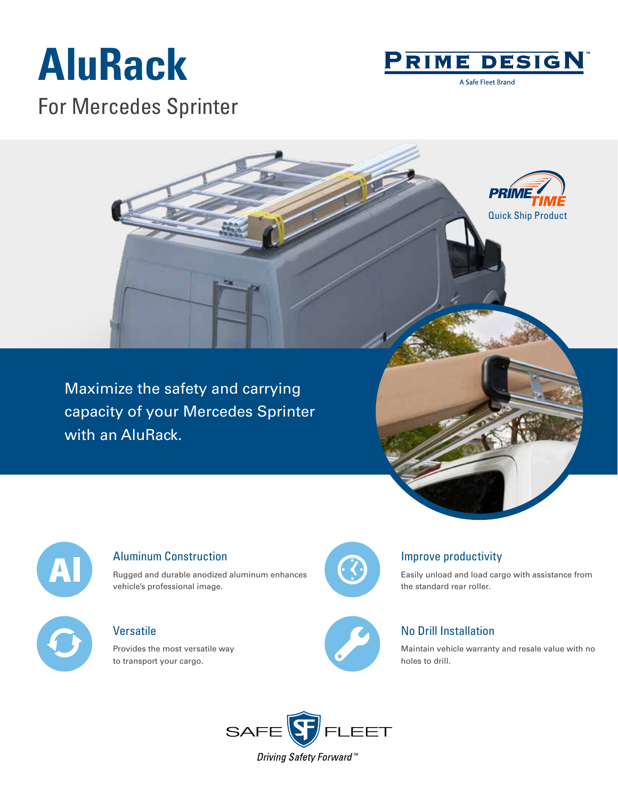# **AluRack**

For Mercedes Sprinter



A Safe Fleet Brand

Maximize the safety and carrying capacity of your Mercedes Sprinter with an AluRack.





#### Aluminum Construction

Rugged and durable anodized aluminum enhances vehicle's professional image.

## **Versatile**

Provides the most versatile way to transport your cargo.



#### Improve productivity

Easily unload and load cargo with assistance from the standard rear roller.



## No Drill Installation

Maintain vehicle warranty and resale value with no holes to drill.